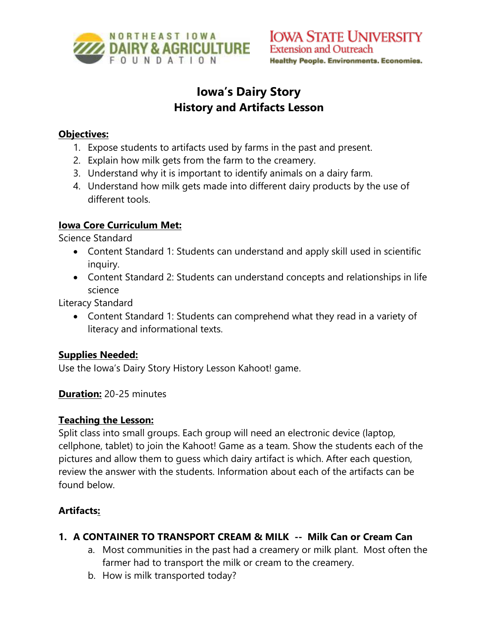

# **Iowa's Dairy Story History and Artifacts Lesson**

#### **Objectives:**

- 1. Expose students to artifacts used by farms in the past and present.
- 2. Explain how milk gets from the farm to the creamery.
- 3. Understand why it is important to identify animals on a dairy farm.
- 4. Understand how milk gets made into different dairy products by the use of different tools.

# **Iowa Core Curriculum Met:**

Science Standard

- Content Standard 1: Students can understand and apply skill used in scientific inquiry.
- Content Standard 2: Students can understand concepts and relationships in life science

Literacy Standard

• Content Standard 1: Students can comprehend what they read in a variety of literacy and informational texts.

# **Supplies Needed:**

Use the Iowa's Dairy Story History Lesson Kahoot! game.

**Duration:** 20-25 minutes

#### **Teaching the Lesson:**

Split class into small groups. Each group will need an electronic device (laptop, cellphone, tablet) to join the Kahoot! Game as a team. Show the students each of the pictures and allow them to guess which dairy artifact is which. After each question, review the answer with the students. Information about each of the artifacts can be found below.

# **Artifacts:**

- **1. A CONTAINER TO TRANSPORT CREAM & MILK -- Milk Can or Cream Can**
	- a. Most communities in the past had a creamery or milk plant. Most often the farmer had to transport the milk or cream to the creamery.
	- b. How is milk transported today?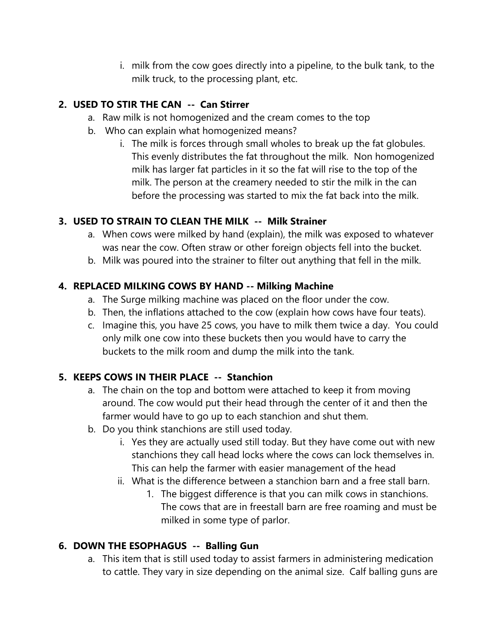i. milk from the cow goes directly into a pipeline, to the bulk tank, to the milk truck, to the processing plant, etc.

# **2. USED TO STIR THE CAN -- Can Stirrer**

- a. Raw milk is not homogenized and the cream comes to the top
- b. Who can explain what homogenized means?
	- i. The milk is forces through small wholes to break up the fat globules. This evenly distributes the fat throughout the milk. Non homogenized milk has larger fat particles in it so the fat will rise to the top of the milk. The person at the creamery needed to stir the milk in the can before the processing was started to mix the fat back into the milk.

#### **3. USED TO STRAIN TO CLEAN THE MILK -- Milk Strainer**

- a. When cows were milked by hand (explain), the milk was exposed to whatever was near the cow. Often straw or other foreign objects fell into the bucket.
- b. Milk was poured into the strainer to filter out anything that fell in the milk.

#### **4. REPLACED MILKING COWS BY HAND -- Milking Machine**

- a. The Surge milking machine was placed on the floor under the cow.
- b. Then, the inflations attached to the cow (explain how cows have four teats).
- c. Imagine this, you have 25 cows, you have to milk them twice a day. You could only milk one cow into these buckets then you would have to carry the buckets to the milk room and dump the milk into the tank.

# **5. KEEPS COWS IN THEIR PLACE -- Stanchion**

- a. The chain on the top and bottom were attached to keep it from moving around. The cow would put their head through the center of it and then the farmer would have to go up to each stanchion and shut them.
- b. Do you think stanchions are still used today.
	- i. Yes they are actually used still today. But they have come out with new stanchions they call head locks where the cows can lock themselves in. This can help the farmer with easier management of the head
	- ii. What is the difference between a stanchion barn and a free stall barn.
		- 1. The biggest difference is that you can milk cows in stanchions. The cows that are in freestall barn are free roaming and must be milked in some type of parlor.

# **6. DOWN THE ESOPHAGUS -- Balling Gun**

a. This item that is still used today to assist farmers in administering medication to cattle. They vary in size depending on the animal size. Calf balling guns are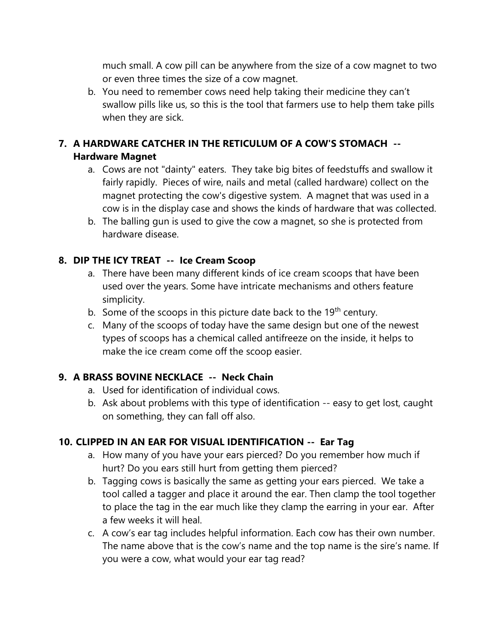much small. A cow pill can be anywhere from the size of a cow magnet to two or even three times the size of a cow magnet.

b. You need to remember cows need help taking their medicine they can't swallow pills like us, so this is the tool that farmers use to help them take pills when they are sick.

# **7. A HARDWARE CATCHER IN THE RETICULUM OF A COW'S STOMACH -- Hardware Magnet**

- a. Cows are not "dainty" eaters. They take big bites of feedstuffs and swallow it fairly rapidly. Pieces of wire, nails and metal (called hardware) collect on the magnet protecting the cow's digestive system. A magnet that was used in a cow is in the display case and shows the kinds of hardware that was collected.
- b. The balling gun is used to give the cow a magnet, so she is protected from hardware disease.

# **8. DIP THE ICY TREAT -- Ice Cream Scoop**

- a. There have been many different kinds of ice cream scoops that have been used over the years. Some have intricate mechanisms and others feature simplicity.
- b. Some of the scoops in this picture date back to the 19<sup>th</sup> century.
- c. Many of the scoops of today have the same design but one of the newest types of scoops has a chemical called antifreeze on the inside, it helps to make the ice cream come off the scoop easier.

# **9. A BRASS BOVINE NECKLACE -- Neck Chain**

- a. Used for identification of individual cows.
- b. Ask about problems with this type of identification -- easy to get lost, caught on something, they can fall off also.

# **10. CLIPPED IN AN EAR FOR VISUAL IDENTIFICATION -- Ear Tag**

- a. How many of you have your ears pierced? Do you remember how much if hurt? Do you ears still hurt from getting them pierced?
- b. Tagging cows is basically the same as getting your ears pierced. We take a tool called a tagger and place it around the ear. Then clamp the tool together to place the tag in the ear much like they clamp the earring in your ear. After a few weeks it will heal.
- c. A cow's ear tag includes helpful information. Each cow has their own number. The name above that is the cow's name and the top name is the sire's name. If you were a cow, what would your ear tag read?